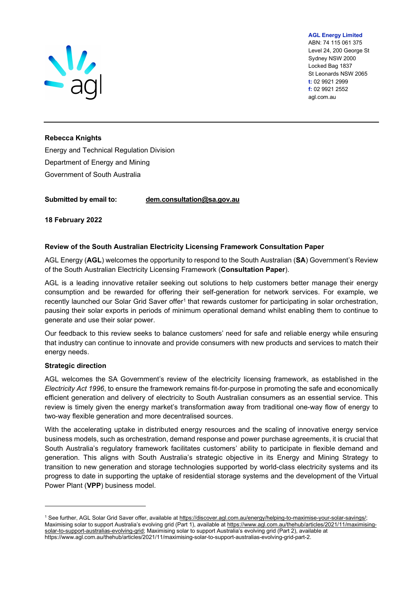

AGL Energy Limited

ABN: 74 115 061 375 Level 24, 200 George St Sydney NSW 2000 Locked Bag 1837 St Leonards NSW 2065 t: 02 9921 2999 f: 02 9921 2552 agl.com.au

### Rebecca Knights

Energy and Technical Regulation Division Department of Energy and Mining Government of South Australia

## Submitted by email to: dem.consultation@sa.gov.au

18 February 2022

### Review of the South Australian Electricity Licensing Framework Consultation Paper

AGL Energy (AGL) welcomes the opportunity to respond to the South Australian (SA) Government's Review of the South Australian Electricity Licensing Framework (Consultation Paper).

AGL is a leading innovative retailer seeking out solutions to help customers better manage their energy consumption and be rewarded for offering their self-generation for network services. For example, we recently launched our Solar Grid Saver offer<sup>1</sup> that rewards customer for participating in solar orchestration, pausing their solar exports in periods of minimum operational demand whilst enabling them to continue to generate and use their solar power.

Our feedback to this review seeks to balance customers' need for safe and reliable energy while ensuring that industry can continue to innovate and provide consumers with new products and services to match their energy needs.

### Strategic direction

AGL welcomes the SA Government's review of the electricity licensing framework, as established in the Electricity Act 1996, to ensure the framework remains fit-for-purpose in promoting the safe and economically efficient generation and delivery of electricity to South Australian consumers as an essential service. This review is timely given the energy market's transformation away from traditional one-way flow of energy to two-way flexible generation and more decentralised sources.

With the accelerating uptake in distributed energy resources and the scaling of innovative energy service business models, such as orchestration, demand response and power purchase agreements, it is crucial that South Australia's regulatory framework facilitates customers' ability to participate in flexible demand and generation. This aligns with South Australia's strategic objective in its Energy and Mining Strategy to transition to new generation and storage technologies supported by world-class electricity systems and its progress to date in supporting the uptake of residential storage systems and the development of the Virtual Power Plant (VPP) business model.

<sup>&</sup>lt;sup>1</sup> See further, AGL Solar Grid Saver offer, available at https://discover.agl.com.au/energy/helping-to-maximise-your-solar-savings/; Maximising solar to support Australia's evolving grid (Part 1), available at https://www.agl.com.au/thehub/articles/2021/11/maximisingsolar-to-support-australias-evolving-grid; Maximising solar to support Australia's evolving grid (Part 2), available at https://www.agl.com.au/thehub/articles/2021/11/maximising-solar-to-support-australias-evolving-grid-part-2.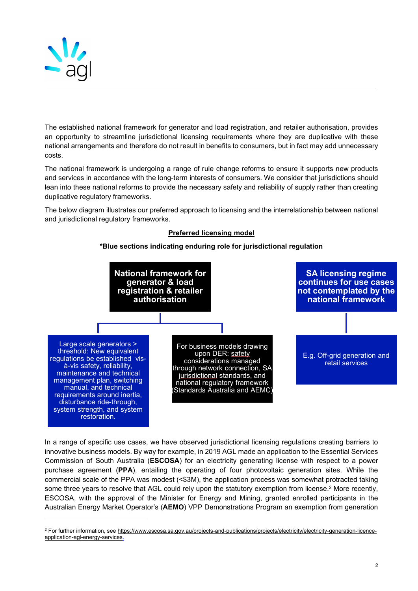

The established national framework for generator and load registration, and retailer authorisation, provides an opportunity to streamline jurisdictional licensing requirements where they are duplicative with these national arrangements and therefore do not result in benefits to consumers, but in fact may add unnecessary costs.

The national framework is undergoing a range of rule change reforms to ensure it supports new products and services in accordance with the long-term interests of consumers. We consider that jurisdictions should lean into these national reforms to provide the necessary safety and reliability of supply rather than creating duplicative regulatory frameworks.

The below diagram illustrates our preferred approach to licensing and the interrelationship between national and jurisdictional regulatory frameworks.

## Preferred licensing model

### \*Blue sections indicating enduring role for jurisdictional regulation



In a range of specific use cases, we have observed jurisdictional licensing regulations creating barriers to innovative business models. By way for example, in 2019 AGL made an application to the Essential Services Commission of South Australia (ESCOSA) for an electricity generating license with respect to a power purchase agreement (PPA), entailing the operating of four photovoltaic generation sites. While the commercial scale of the PPA was modest (<\$3M), the application process was somewhat protracted taking some three years to resolve that AGL could rely upon the statutory exemption from license.<sup>2</sup> More recently, ESCOSA, with the approval of the Minister for Energy and Mining, granted enrolled participants in the Australian Energy Market Operator's (AEMO) VPP Demonstrations Program an exemption from generation

<sup>&</sup>lt;sup>2</sup> For further information, see <u>https://www.escosa.sa.gov.au/projects-and-publications/projects/electricity/electricity-generation-licence-</u> application-agl-energy-services.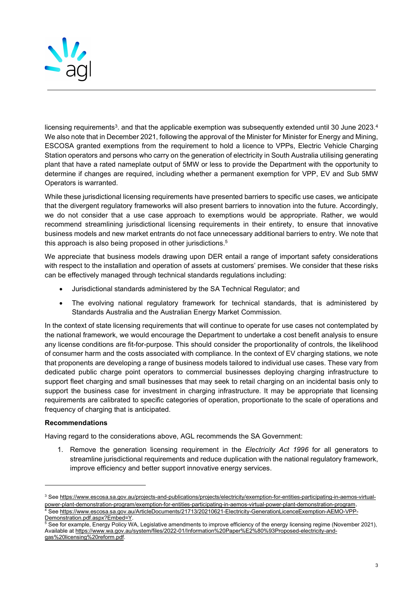

licensing requirements $^3$ . and that the applicable exemption was subsequently extended until 30 June 2023. $^4$ We also note that in December 2021, following the approval of the Minister for Minister for Energy and Mining, ESCOSA granted exemptions from the requirement to hold a licence to VPPs, Electric Vehicle Charging Station operators and persons who carry on the generation of electricity in South Australia utilising generating plant that have a rated nameplate output of 5MW or less to provide the Department with the opportunity to determine if changes are required, including whether a permanent exemption for VPP, EV and Sub 5MW Operators is warranted.

While these jurisdictional licensing requirements have presented barriers to specific use cases, we anticipate that the divergent regulatory frameworks will also present barriers to innovation into the future. Accordingly, we do not consider that a use case approach to exemptions would be appropriate. Rather, we would recommend streamlining jurisdictional licensing requirements in their entirety, to ensure that innovative business models and new market entrants do not face unnecessary additional barriers to entry. We note that this approach is also being proposed in other jurisdictions.<sup>5</sup>

We appreciate that business models drawing upon DER entail a range of important safety considerations with respect to the installation and operation of assets at customers' premises. We consider that these risks can be effectively managed through technical standards regulations including:

- Jurisdictional standards administered by the SA Technical Regulator; and
- The evolving national regulatory framework for technical standards, that is administered by Standards Australia and the Australian Energy Market Commission.

In the context of state licensing requirements that will continue to operate for use cases not contemplated by the national framework, we would encourage the Department to undertake a cost benefit analysis to ensure any license conditions are fit-for-purpose. This should consider the proportionality of controls, the likelihood of consumer harm and the costs associated with compliance. In the context of EV charging stations, we note that proponents are developing a range of business models tailored to individual use cases. These vary from dedicated public charge point operators to commercial businesses deploying charging infrastructure to support fleet charging and small businesses that may seek to retail charging on an incidental basis only to support the business case for investment in charging infrastructure. It may be appropriate that licensing requirements are calibrated to specific categories of operation, proportionate to the scale of operations and frequency of charging that is anticipated.

# Recommendations

Having regard to the considerations above, AGL recommends the SA Government:

1. Remove the generation licensing requirement in the *Electricity Act 1996* for all generators to streamline jurisdictional requirements and reduce duplication with the national regulatory framework, improve efficiency and better support innovative energy services.

<sup>3</sup> See https://www.escosa.sa.gov.au/projects-and-publications/projects/electricity/exemption-for-entities-participating-in-aemos-virtualpower-plant-demonstration-program/exemption-for-entities-participating-in-aemos-virtual-power-plant-demonstration-program. 4 See https://www.escosa.sa.gov.au/ArticleDocuments/21713/20210621-Electricity-GenerationLicenceExemption-AEMO-VPP-

Demonstration.pdf.aspx?Embed=Y. 5 See for example, Energy Policy WA, Legislative amendments to improve efficiency of the energy licensing regime (November 2021), Available at https://www.wa.gov.au/system/files/2022-01/Information%20Paper%E2%80%93Proposed-electricity-andgas%20licensing%20reform.pdf.